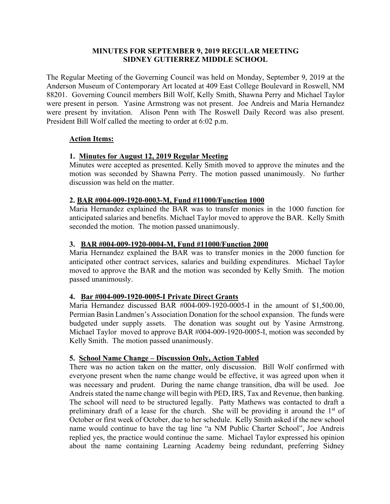# **MINUTES FOR SEPTEMBER 9, 2019 REGULAR MEETING SIDNEY GUTIERREZ MIDDLE SCHOOL**

The Regular Meeting of the Governing Council was held on Monday, September 9, 2019 at the Anderson Museum of Contemporary Art located at 409 East College Boulevard in Roswell, NM 88201. Governing Council members Bill Wolf, Kelly Smith, Shawna Perry and Michael Taylor were present in person. Yasine Armstrong was not present. Joe Andreis and Maria Hernandez were present by invitation. Alison Penn with The Roswell Daily Record was also present. President Bill Wolf called the meeting to order at 6:02 p.m.

# **Action Items:**

# **1. Minutes for August 12, 2019 Regular Meeting**

Minutes were accepted as presented. Kelly Smith moved to approve the minutes and the motion was seconded by Shawna Perry. The motion passed unanimously. No further discussion was held on the matter.

# **2. BAR #004-009-1920-0003-M, Fund #11000/Function 1000**

Maria Hernandez explained the BAR was to transfer monies in the 1000 function for anticipated salaries and benefits. Michael Taylor moved to approve the BAR. Kelly Smith seconded the motion. The motion passed unanimously.

# **3. BAR #004-009-1920-0004-M, Fund #11000/Function 2000**

Maria Hernandez explained the BAR was to transfer monies in the 2000 function for anticipated other contract services, salaries and building expenditures. Michael Taylor moved to approve the BAR and the motion was seconded by Kelly Smith. The motion passed unanimously.

# **4. Bar #004-009-1920-0005-I Private Direct Grants**

Maria Hernandez discussed BAR #004-009-1920-0005-I in the amount of \$1,500.00, Permian Basin Landmen's Association Donation for the school expansion. The funds were budgeted under supply assets. The donation was sought out by Yasine Armstrong. Michael Taylor moved to approve BAR #004-009-1920-0005-I, motion was seconded by Kelly Smith. The motion passed unanimously.

## **5. School Name Change – Discussion Only, Action Tabled**

There was no action taken on the matter, only discussion. Bill Wolf confirmed with everyone present when the name change would be effective, it was agreed upon when it was necessary and prudent. During the name change transition, dba will be used. Joe Andreis stated the name change will begin with PED, IRS, Tax and Revenue, then banking. The school will need to be structured legally. Patty Mathews was contacted to draft a preliminary draft of a lease for the church. She will be providing it around the 1st of October or first week of October, due to her schedule. Kelly Smith asked if the new school name would continue to have the tag line "a NM Public Charter School", Joe Andreis replied yes, the practice would continue the same. Michael Taylor expressed his opinion about the name containing Learning Academy being redundant, preferring Sidney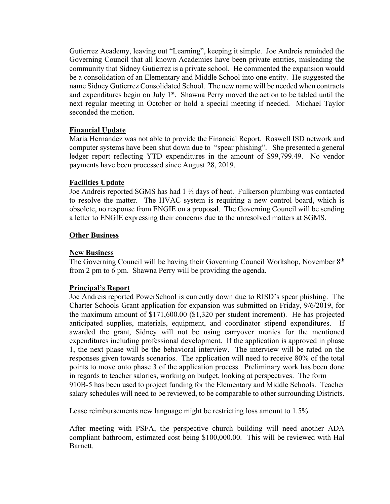Gutierrez Academy, leaving out "Learning", keeping it simple. Joe Andreis reminded the Governing Council that all known Academies have been private entities, misleading the community that Sidney Gutierrez is a private school. He commented the expansion would be a consolidation of an Elementary and Middle School into one entity. He suggested the name Sidney Gutierrez Consolidated School. The new name will be needed when contracts and expenditures begin on July 1<sup>st</sup>. Shawna Perry moved the action to be tabled until the next regular meeting in October or hold a special meeting if needed. Michael Taylor seconded the motion.

## **Financial Update**

Maria Hernandez was not able to provide the Financial Report. Roswell ISD network and computer systems have been shut down due to "spear phishing". She presented a general ledger report reflecting YTD expenditures in the amount of \$99,799.49. No vendor payments have been processed since August 28, 2019.

## **Facilities Update**

Joe Andreis reported SGMS has had 1 ½ days of heat. Fulkerson plumbing was contacted to resolve the matter. The HVAC system is requiring a new control board, which is obsolete, no response from ENGIE on a proposal. The Governing Council will be sending a letter to ENGIE expressing their concerns due to the unresolved matters at SGMS.

#### **Other Business**

#### **New Business**

The Governing Council will be having their Governing Council Workshop, November 8th from 2 pm to 6 pm. Shawna Perry will be providing the agenda.

## **Principal's Report**

Joe Andreis reported PowerSchool is currently down due to RISD's spear phishing. The Charter Schools Grant application for expansion was submitted on Friday, 9/6/2019, for the maximum amount of \$171,600.00 (\$1,320 per student increment). He has projected anticipated supplies, materials, equipment, and coordinator stipend expenditures. If awarded the grant, Sidney will not be using carryover monies for the mentioned expenditures including professional development. If the application is approved in phase 1, the next phase will be the behavioral interview. The interview will be rated on the responses given towards scenarios. The application will need to receive 80% of the total points to move onto phase 3 of the application process. Preliminary work has been done in regards to teacher salaries, working on budget, looking at perspectives. The form 910B-5 has been used to project funding for the Elementary and Middle Schools. Teacher salary schedules will need to be reviewed, to be comparable to other surrounding Districts.

Lease reimbursements new language might be restricting loss amount to 1.5%.

After meeting with PSFA, the perspective church building will need another ADA compliant bathroom, estimated cost being \$100,000.00. This will be reviewed with Hal Barnett.